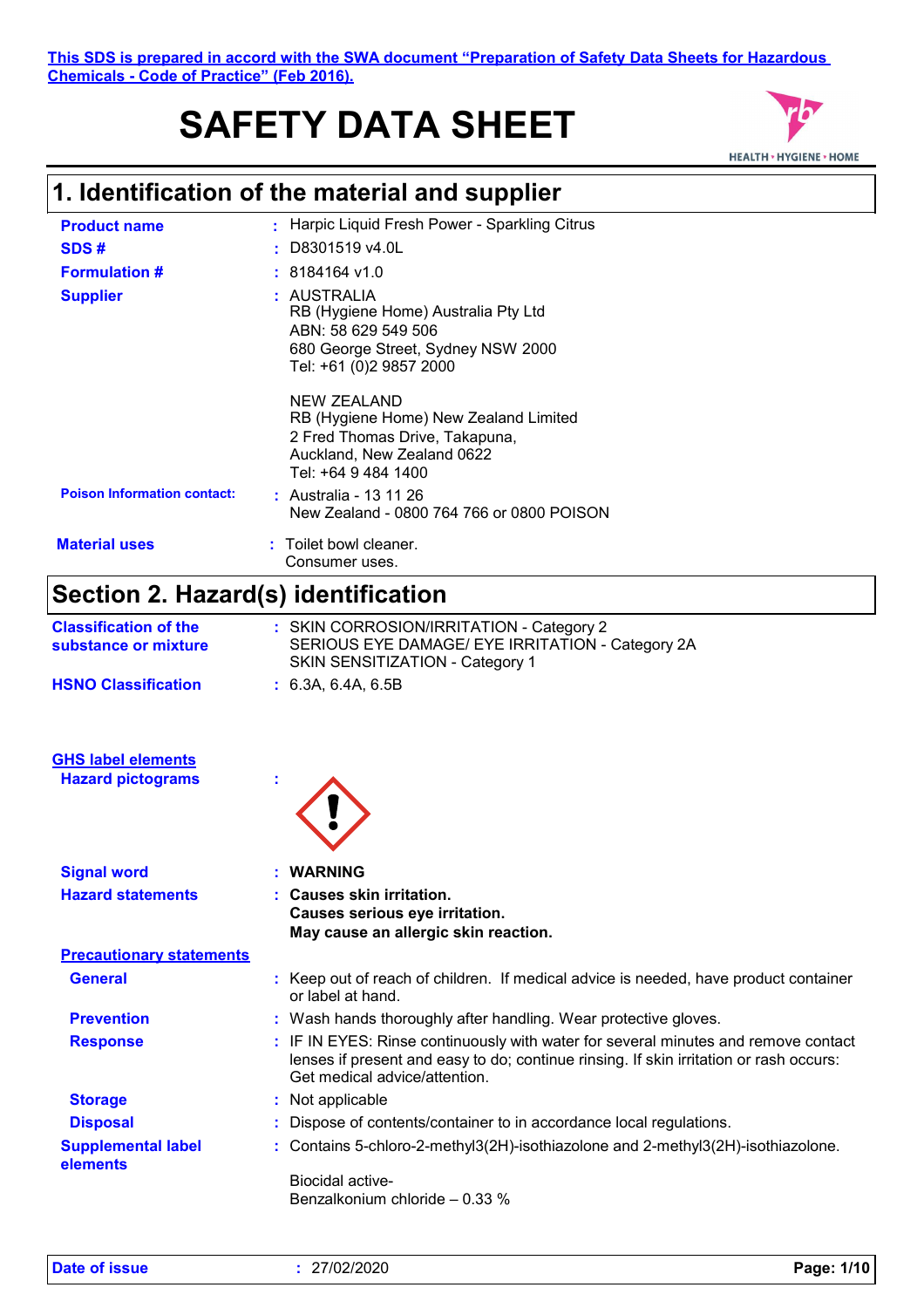# **SAFETY DATA SHEET**



| <b>Product name</b>                                   | : Harpic Liquid Fresh Power - Sparkling Citrus                                                                                                                                                                |
|-------------------------------------------------------|---------------------------------------------------------------------------------------------------------------------------------------------------------------------------------------------------------------|
| SDS#                                                  | D8301519 v4.0L                                                                                                                                                                                                |
| <b>Formulation #</b>                                  | : 8184164 v1.0                                                                                                                                                                                                |
| <b>Supplier</b>                                       | : AUSTRALIA<br>RB (Hygiene Home) Australia Pty Ltd<br>ABN: 58 629 549 506<br>680 George Street, Sydney NSW 2000<br>Tel: +61 (0)2 9857 2000                                                                    |
|                                                       | <b>NEW ZEALAND</b><br>RB (Hygiene Home) New Zealand Limited<br>2 Fred Thomas Drive, Takapuna,<br>Auckland, New Zealand 0622<br>Tel: +64 9 484 1400                                                            |
| <b>Poison Information contact:</b>                    | : Australia - 13 11 26<br>New Zealand - 0800 764 766 or 0800 POISON                                                                                                                                           |
| <b>Material uses</b>                                  | Toilet bowl cleaner.<br>Consumer uses.                                                                                                                                                                        |
| Section 2. Hazard(s) identification                   |                                                                                                                                                                                                               |
| <b>Classification of the</b><br>substance or mixture  | : SKIN CORROSION/IRRITATION - Category 2<br>SERIOUS EYE DAMAGE/ EYE IRRITATION - Category 2A<br>SKIN SENSITIZATION - Category 1                                                                               |
| <b>HSNO Classification</b>                            | : 6.3A, 6.4A, 6.5B                                                                                                                                                                                            |
| <b>GHS label elements</b><br><b>Hazard pictograms</b> |                                                                                                                                                                                                               |
| <b>Signal word</b>                                    | <b>WARNING</b>                                                                                                                                                                                                |
| <b>Hazard statements</b>                              | <b>Causes skin irritation.</b>                                                                                                                                                                                |
|                                                       | Causes serious eye irritation.<br>May cause an allergic skin reaction.                                                                                                                                        |
| <b>Precautionary statements</b>                       |                                                                                                                                                                                                               |
| <b>General</b>                                        | : Keep out of reach of children. If medical advice is needed, have product container<br>or label at hand.                                                                                                     |
| <b>Prevention</b>                                     | : Wash hands thoroughly after handling. Wear protective gloves.                                                                                                                                               |
| <b>Response</b>                                       | : IF IN EYES: Rinse continuously with water for several minutes and remove contact<br>lenses if present and easy to do; continue rinsing. If skin irritation or rash occurs:<br>Get medical advice/attention. |
| <b>Storage</b>                                        | : Not applicable                                                                                                                                                                                              |
| <b>Disposal</b>                                       | : Dispose of contents/container to in accordance local regulations.                                                                                                                                           |
| <b>Supplemental label</b><br>elements                 | : Contains 5-chloro-2-methyl3(2H)-isothiazolone and 2-methyl3(2H)-isothiazolone.<br>Biocidal active-                                                                                                          |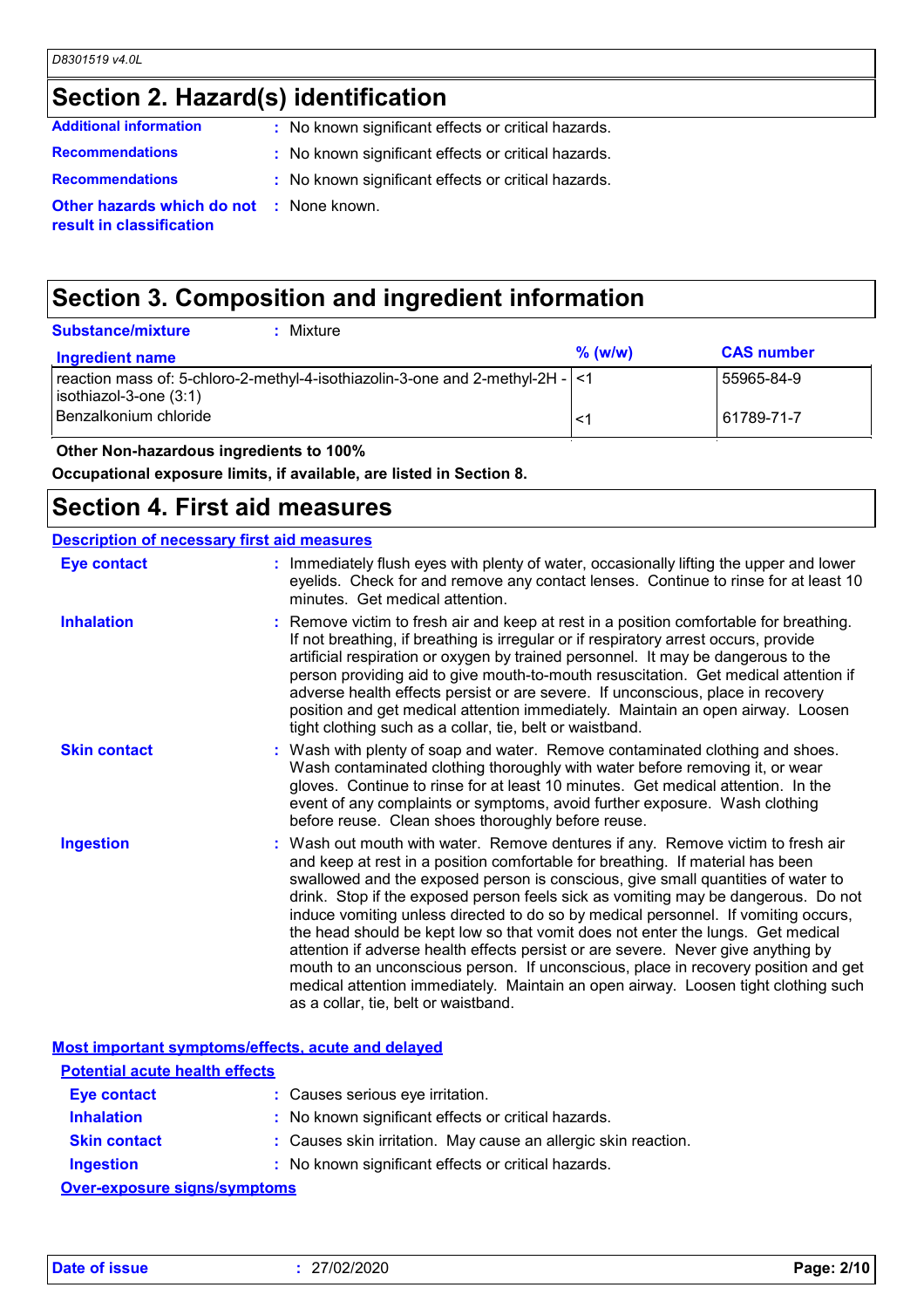# **Section 2. Hazard(s) identification**

| <b>Additional information</b>                                        | : No known significant effects or critical hazards. |
|----------------------------------------------------------------------|-----------------------------------------------------|
| <b>Recommendations</b>                                               | : No known significant effects or critical hazards. |
| <b>Recommendations</b>                                               | : No known significant effects or critical hazards. |
| Other hazards which do not : None known.<br>result in classification |                                                     |

## **Section 3. Composition and ingredient information**

| <b>Substance/mixture</b><br>Mixture                                                                             |           |                   |
|-----------------------------------------------------------------------------------------------------------------|-----------|-------------------|
| <b>Ingredient name</b>                                                                                          | $%$ (w/w) | <b>CAS number</b> |
| reaction mass of: 5-chloro-2-methyl-4-isothiazolin-3-one and 2-methyl-2H - $\vert$ <1<br>isothiazol-3-one (3:1) |           | 55965-84-9        |
| Benzalkonium chloride                                                                                           | $\prec$   | 61789-71-7        |

 **Other Non-hazardous ingredients to 100%**

**Occupational exposure limits, if available, are listed in Section 8.**

#### **Section 4. First aid measures**

#### **Description of necessary first aid measures**

| <b>Eye contact</b>  | : Immediately flush eyes with plenty of water, occasionally lifting the upper and lower<br>eyelids. Check for and remove any contact lenses. Continue to rinse for at least 10<br>minutes. Get medical attention.                                                                                                                                                                                                                                                                                                                                                                                                                                                                                                                                                                                                            |
|---------------------|------------------------------------------------------------------------------------------------------------------------------------------------------------------------------------------------------------------------------------------------------------------------------------------------------------------------------------------------------------------------------------------------------------------------------------------------------------------------------------------------------------------------------------------------------------------------------------------------------------------------------------------------------------------------------------------------------------------------------------------------------------------------------------------------------------------------------|
| <b>Inhalation</b>   | : Remove victim to fresh air and keep at rest in a position comfortable for breathing.<br>If not breathing, if breathing is irregular or if respiratory arrest occurs, provide<br>artificial respiration or oxygen by trained personnel. It may be dangerous to the<br>person providing aid to give mouth-to-mouth resuscitation. Get medical attention if<br>adverse health effects persist or are severe. If unconscious, place in recovery<br>position and get medical attention immediately. Maintain an open airway. Loosen<br>tight clothing such as a collar, tie, belt or waistband.                                                                                                                                                                                                                                 |
| <b>Skin contact</b> | : Wash with plenty of soap and water. Remove contaminated clothing and shoes.<br>Wash contaminated clothing thoroughly with water before removing it, or wear<br>gloves. Continue to rinse for at least 10 minutes. Get medical attention. In the<br>event of any complaints or symptoms, avoid further exposure. Wash clothing<br>before reuse. Clean shoes thoroughly before reuse.                                                                                                                                                                                                                                                                                                                                                                                                                                        |
| <b>Ingestion</b>    | : Wash out mouth with water. Remove dentures if any. Remove victim to fresh air<br>and keep at rest in a position comfortable for breathing. If material has been<br>swallowed and the exposed person is conscious, give small quantities of water to<br>drink. Stop if the exposed person feels sick as vomiting may be dangerous. Do not<br>induce vomiting unless directed to do so by medical personnel. If vomiting occurs,<br>the head should be kept low so that vomit does not enter the lungs. Get medical<br>attention if adverse health effects persist or are severe. Never give anything by<br>mouth to an unconscious person. If unconscious, place in recovery position and get<br>medical attention immediately. Maintain an open airway. Loosen tight clothing such<br>as a collar, tie, belt or waistband. |

|                                       | Most important symptoms/effects, acute and delayed             |
|---------------------------------------|----------------------------------------------------------------|
| <b>Potential acute health effects</b> |                                                                |
| <b>Eye contact</b>                    | : Causes serious eye irritation.                               |
| <b>Inhalation</b>                     | : No known significant effects or critical hazards.            |
| <b>Skin contact</b>                   | : Causes skin irritation. May cause an allergic skin reaction. |
| <b>Ingestion</b>                      | : No known significant effects or critical hazards.            |
| Over-exposure sinns/symptoms          |                                                                |

**Over-exposure signs/symptoms**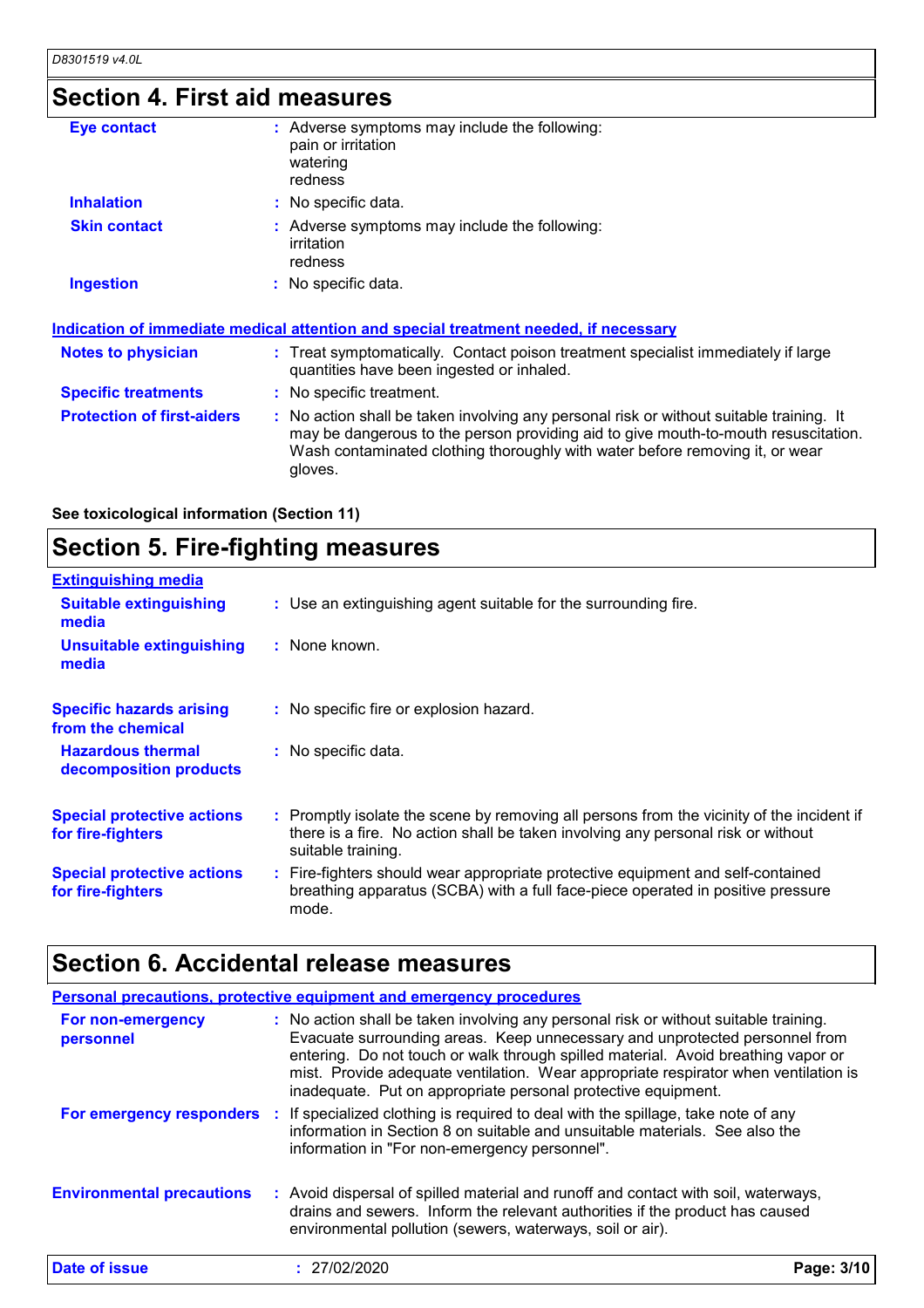# **Section 4. First aid measures**

| Eye contact                       | : Adverse symptoms may include the following:<br>pain or irritation<br>watering<br>redness                                                                                                                                                                               |
|-----------------------------------|--------------------------------------------------------------------------------------------------------------------------------------------------------------------------------------------------------------------------------------------------------------------------|
| <b>Inhalation</b>                 | : No specific data.                                                                                                                                                                                                                                                      |
| <b>Skin contact</b>               | : Adverse symptoms may include the following:<br>irritation<br>redness                                                                                                                                                                                                   |
| <b>Ingestion</b>                  | : No specific data.                                                                                                                                                                                                                                                      |
|                                   | <u>Indication of immediate medical attention and special treatment needed, if necessary</u>                                                                                                                                                                              |
| <b>Notes to physician</b>         | : Treat symptomatically. Contact poison treatment specialist immediately if large<br>quantities have been ingested or inhaled.                                                                                                                                           |
| <b>Specific treatments</b>        | : No specific treatment.                                                                                                                                                                                                                                                 |
| <b>Protection of first-aiders</b> | : No action shall be taken involving any personal risk or without suitable training. It<br>may be dangerous to the person providing aid to give mouth-to-mouth resuscitation.<br>Wash contaminated clothing thoroughly with water before removing it, or wear<br>gloves. |
|                                   |                                                                                                                                                                                                                                                                          |

**See toxicological information (Section 11)**

## **Section 5. Fire-fighting measures**

| <b>Extinguishing media</b>                             |                                                                                                                                                                                                     |
|--------------------------------------------------------|-----------------------------------------------------------------------------------------------------------------------------------------------------------------------------------------------------|
| <b>Suitable extinguishing</b><br>media                 | : Use an extinguishing agent suitable for the surrounding fire.                                                                                                                                     |
| <b>Unsuitable extinguishing</b><br>media               | : None known.                                                                                                                                                                                       |
| <b>Specific hazards arising</b><br>from the chemical   | : No specific fire or explosion hazard.                                                                                                                                                             |
| <b>Hazardous thermal</b><br>decomposition products     | : No specific data.                                                                                                                                                                                 |
| <b>Special protective actions</b><br>for fire-fighters | : Promptly isolate the scene by removing all persons from the vicinity of the incident if<br>there is a fire. No action shall be taken involving any personal risk or without<br>suitable training. |
| <b>Special protective actions</b><br>for fire-fighters | : Fire-fighters should wear appropriate protective equipment and self-contained<br>breathing apparatus (SCBA) with a full face-piece operated in positive pressure<br>mode.                         |

# **Section 6. Accidental release measures**

|                                  | Personal precautions, protective equipment and emergency procedures                                                                                                                                                                                                                                                                                                                                              |            |  |
|----------------------------------|------------------------------------------------------------------------------------------------------------------------------------------------------------------------------------------------------------------------------------------------------------------------------------------------------------------------------------------------------------------------------------------------------------------|------------|--|
| For non-emergency<br>personnel   | : No action shall be taken involving any personal risk or without suitable training.<br>Evacuate surrounding areas. Keep unnecessary and unprotected personnel from<br>entering. Do not touch or walk through spilled material. Avoid breathing vapor or<br>mist. Provide adequate ventilation. Wear appropriate respirator when ventilation is<br>inadequate. Put on appropriate personal protective equipment. |            |  |
| For emergency responders         | : If specialized clothing is required to deal with the spillage, take note of any<br>information in Section 8 on suitable and unsuitable materials. See also the<br>information in "For non-emergency personnel".                                                                                                                                                                                                |            |  |
| <b>Environmental precautions</b> | : Avoid dispersal of spilled material and runoff and contact with soil, waterways,<br>drains and sewers. Inform the relevant authorities if the product has caused<br>environmental pollution (sewers, waterways, soil or air).                                                                                                                                                                                  |            |  |
| Date of issue                    | : 27/02/2020                                                                                                                                                                                                                                                                                                                                                                                                     | Page: 3/10 |  |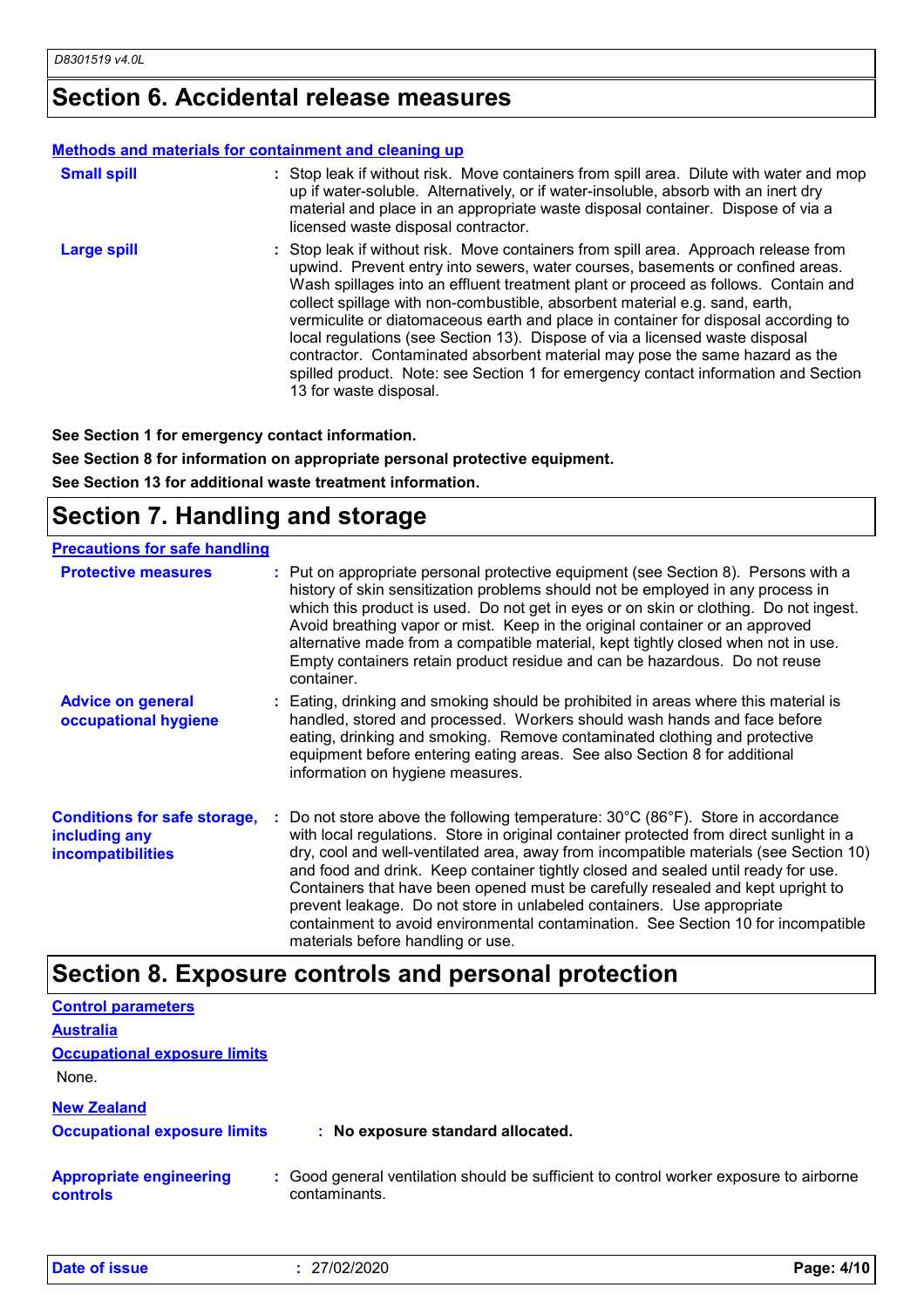### **Section 6. Accidental release measures**

#### **Methods and materials for containment and cleaning up**

| <b>Small spill</b> | : Stop leak if without risk. Move containers from spill area. Dilute with water and mop<br>up if water-soluble. Alternatively, or if water-insoluble, absorb with an inert dry<br>material and place in an appropriate waste disposal container. Dispose of via a<br>licensed waste disposal contractor.                                                                                                                                                                                                                                                                                                                                                                                                        |
|--------------------|-----------------------------------------------------------------------------------------------------------------------------------------------------------------------------------------------------------------------------------------------------------------------------------------------------------------------------------------------------------------------------------------------------------------------------------------------------------------------------------------------------------------------------------------------------------------------------------------------------------------------------------------------------------------------------------------------------------------|
| <b>Large spill</b> | : Stop leak if without risk. Move containers from spill area. Approach release from<br>upwind. Prevent entry into sewers, water courses, basements or confined areas.<br>Wash spillages into an effluent treatment plant or proceed as follows. Contain and<br>collect spillage with non-combustible, absorbent material e.g. sand, earth,<br>vermiculite or diatomaceous earth and place in container for disposal according to<br>local regulations (see Section 13). Dispose of via a licensed waste disposal<br>contractor. Contaminated absorbent material may pose the same hazard as the<br>spilled product. Note: see Section 1 for emergency contact information and Section<br>13 for waste disposal. |

**See Section 1 for emergency contact information.**

**See Section 8 for information on appropriate personal protective equipment.**

**See Section 13 for additional waste treatment information.**

## **Section 7. Handling and storage**

| <b>Precautions for safe handling</b>                                             |                                                                                                                                                                                                                                                                                                                                                                                                                                                                                                                                                                                                                                                                     |
|----------------------------------------------------------------------------------|---------------------------------------------------------------------------------------------------------------------------------------------------------------------------------------------------------------------------------------------------------------------------------------------------------------------------------------------------------------------------------------------------------------------------------------------------------------------------------------------------------------------------------------------------------------------------------------------------------------------------------------------------------------------|
| <b>Protective measures</b>                                                       | : Put on appropriate personal protective equipment (see Section 8). Persons with a<br>history of skin sensitization problems should not be employed in any process in<br>which this product is used. Do not get in eyes or on skin or clothing. Do not ingest.<br>Avoid breathing vapor or mist. Keep in the original container or an approved<br>alternative made from a compatible material, kept tightly closed when not in use.<br>Empty containers retain product residue and can be hazardous. Do not reuse<br>container.                                                                                                                                     |
| <b>Advice on general</b><br>occupational hygiene                                 | : Eating, drinking and smoking should be prohibited in areas where this material is<br>handled, stored and processed. Workers should wash hands and face before<br>eating, drinking and smoking. Remove contaminated clothing and protective<br>equipment before entering eating areas. See also Section 8 for additional<br>information on hygiene measures.                                                                                                                                                                                                                                                                                                       |
| <b>Conditions for safe storage,</b><br>including any<br><b>incompatibilities</b> | Do not store above the following temperature: $30^{\circ}$ C (86 $^{\circ}$ F). Store in accordance<br>with local regulations. Store in original container protected from direct sunlight in a<br>dry, cool and well-ventilated area, away from incompatible materials (see Section 10)<br>and food and drink. Keep container tightly closed and sealed until ready for use.<br>Containers that have been opened must be carefully resealed and kept upright to<br>prevent leakage. Do not store in unlabeled containers. Use appropriate<br>containment to avoid environmental contamination. See Section 10 for incompatible<br>materials before handling or use. |

#### **Section 8. Exposure controls and personal protection**

| <b>Control parameters</b>                  |                                                                                                         |            |
|--------------------------------------------|---------------------------------------------------------------------------------------------------------|------------|
| <b>Australia</b>                           |                                                                                                         |            |
| <b>Occupational exposure limits</b>        |                                                                                                         |            |
| None.                                      |                                                                                                         |            |
| <b>New Zealand</b>                         |                                                                                                         |            |
| <b>Occupational exposure limits</b>        | : No exposure standard allocated.                                                                       |            |
| <b>Appropriate engineering</b><br>controls | : Good general ventilation should be sufficient to control worker exposure to airborne<br>contaminants. |            |
| Date of issue                              | : 27/02/2020                                                                                            | Page: 4/10 |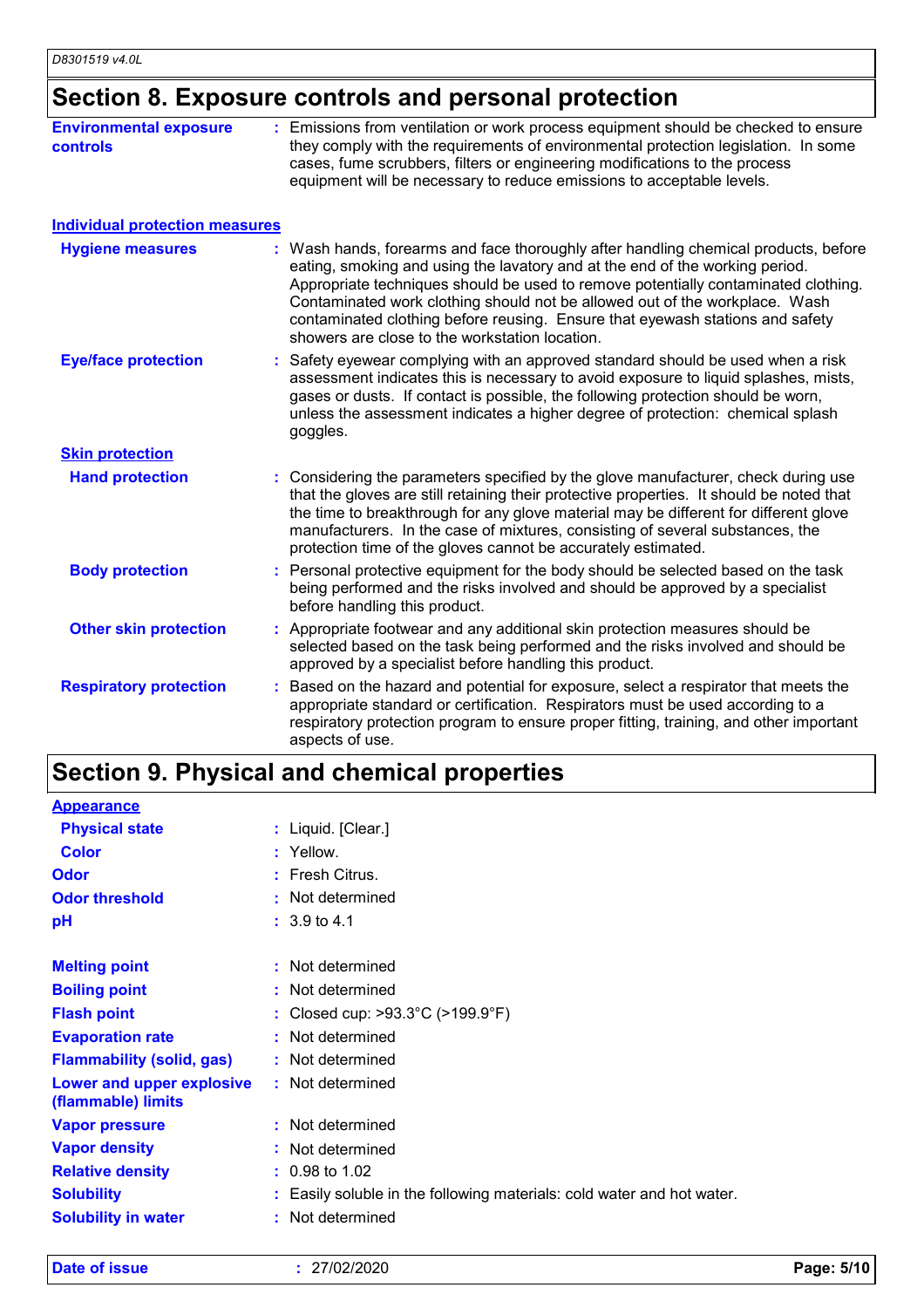# **Section 8. Exposure controls and personal protection**

| <b>Environmental exposure</b><br><b>controls</b> | : Emissions from ventilation or work process equipment should be checked to ensure<br>they comply with the requirements of environmental protection legislation. In some<br>cases, fume scrubbers, filters or engineering modifications to the process<br>equipment will be necessary to reduce emissions to acceptable levels.                                                                                                                                             |
|--------------------------------------------------|-----------------------------------------------------------------------------------------------------------------------------------------------------------------------------------------------------------------------------------------------------------------------------------------------------------------------------------------------------------------------------------------------------------------------------------------------------------------------------|
| <b>Individual protection measures</b>            |                                                                                                                                                                                                                                                                                                                                                                                                                                                                             |
| <b>Hygiene measures</b>                          | : Wash hands, forearms and face thoroughly after handling chemical products, before<br>eating, smoking and using the lavatory and at the end of the working period.<br>Appropriate techniques should be used to remove potentially contaminated clothing.<br>Contaminated work clothing should not be allowed out of the workplace. Wash<br>contaminated clothing before reusing. Ensure that eyewash stations and safety<br>showers are close to the workstation location. |
| <b>Eye/face protection</b>                       | : Safety eyewear complying with an approved standard should be used when a risk<br>assessment indicates this is necessary to avoid exposure to liquid splashes, mists,<br>gases or dusts. If contact is possible, the following protection should be worn,<br>unless the assessment indicates a higher degree of protection: chemical splash<br>goggles.                                                                                                                    |
| <b>Skin protection</b>                           |                                                                                                                                                                                                                                                                                                                                                                                                                                                                             |
| <b>Hand protection</b>                           | Considering the parameters specified by the glove manufacturer, check during use<br>that the gloves are still retaining their protective properties. It should be noted that<br>the time to breakthrough for any glove material may be different for different glove<br>manufacturers. In the case of mixtures, consisting of several substances, the<br>protection time of the gloves cannot be accurately estimated.                                                      |
| <b>Body protection</b>                           | : Personal protective equipment for the body should be selected based on the task<br>being performed and the risks involved and should be approved by a specialist<br>before handling this product.                                                                                                                                                                                                                                                                         |
| <b>Other skin protection</b>                     | : Appropriate footwear and any additional skin protection measures should be<br>selected based on the task being performed and the risks involved and should be<br>approved by a specialist before handling this product.                                                                                                                                                                                                                                                   |
| <b>Respiratory protection</b>                    | Based on the hazard and potential for exposure, select a respirator that meets the<br>appropriate standard or certification. Respirators must be used according to a<br>respiratory protection program to ensure proper fitting, training, and other important<br>aspects of use.                                                                                                                                                                                           |

# **Section 9. Physical and chemical properties**

| <b>Appearance</b>                               |    |                                                                        |
|-------------------------------------------------|----|------------------------------------------------------------------------|
| <b>Physical state</b>                           |    | : Liquid. [Clear.]                                                     |
| <b>Color</b>                                    |    | : Yellow.                                                              |
| <b>Odor</b>                                     |    | : Fresh Citrus.                                                        |
| <b>Odor threshold</b>                           | ÷. | Not determined                                                         |
| рH                                              |    | $: 3.9 \text{ to } 4.1$                                                |
|                                                 |    |                                                                        |
| <b>Melting point</b>                            |    | : Not determined                                                       |
| <b>Boiling point</b>                            |    | : Not determined                                                       |
| <b>Flash point</b>                              |    | : Closed cup: $>93.3^{\circ}$ C ( $>199.9^{\circ}$ F)                  |
| <b>Evaporation rate</b>                         |    | Not determined                                                         |
| <b>Flammability (solid, gas)</b>                |    | : Not determined                                                       |
| Lower and upper explosive<br>(flammable) limits |    | : Not determined                                                       |
| <b>Vapor pressure</b>                           | ÷. | Not determined                                                         |
| <b>Vapor density</b>                            |    | Not determined                                                         |
| <b>Relative density</b>                         |    | $: 0.98$ to 1.02                                                       |
| <b>Solubility</b>                               |    | : Easily soluble in the following materials: cold water and hot water. |
| <b>Solubility in water</b>                      |    | Not determined                                                         |
|                                                 |    |                                                                        |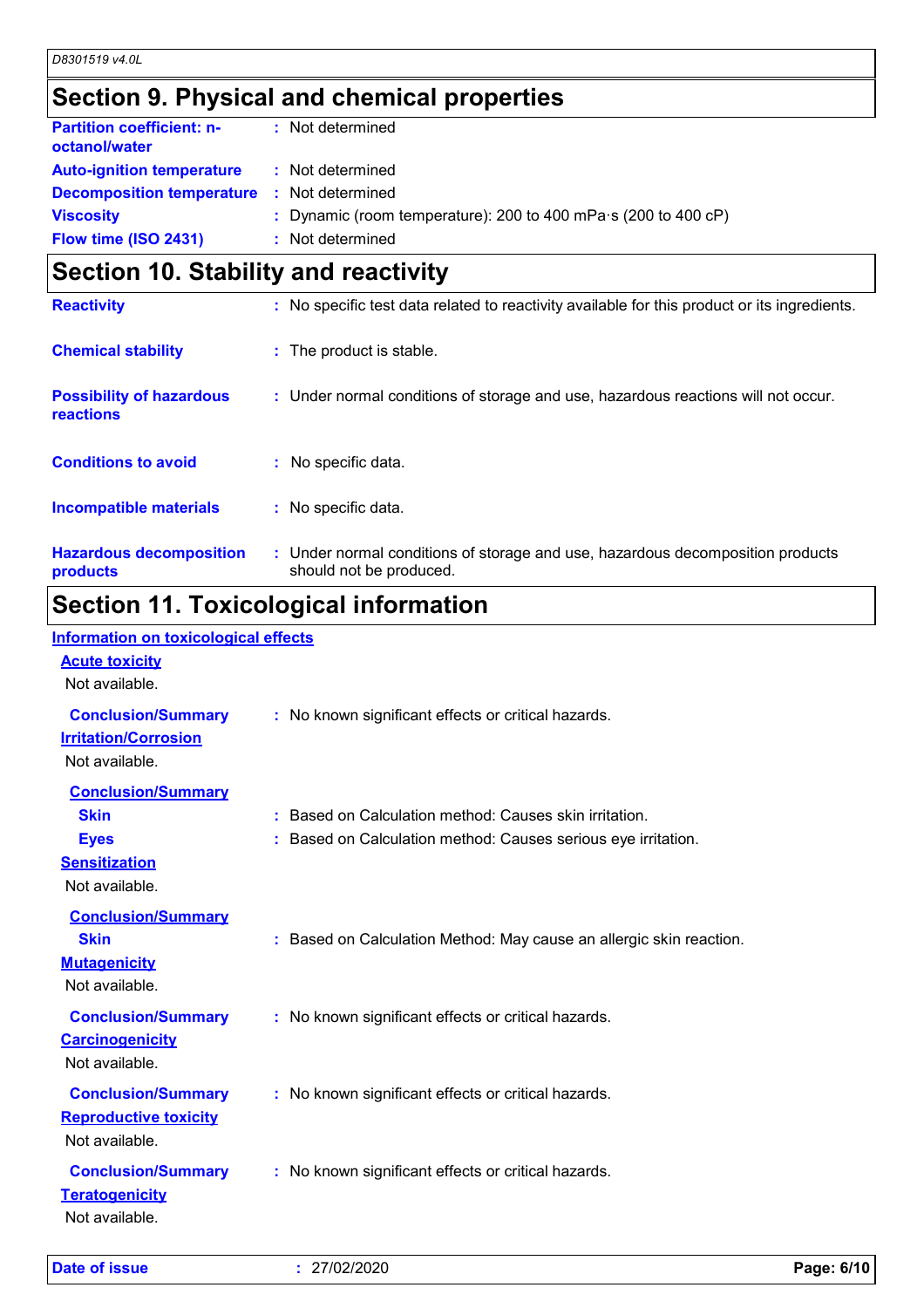# **Section 9. Physical and chemical properties**

| <b>Partition coefficient: n-</b><br>octanol/water | : Not determined                                                       |
|---------------------------------------------------|------------------------------------------------------------------------|
| <b>Auto-ignition temperature</b>                  | : Not determined                                                       |
| <b>Decomposition temperature</b>                  | : Not determined                                                       |
| <b>Viscosity</b>                                  | : Dynamic (room temperature): 200 to 400 mPa $\cdot$ s (200 to 400 cP) |
| Flow time (ISO 2431)                              | : Not determined                                                       |
|                                                   |                                                                        |

## **Section 10. Stability and reactivity**

| <b>Reactivity</b>                            | : No specific test data related to reactivity available for this product or its ingredients.              |
|----------------------------------------------|-----------------------------------------------------------------------------------------------------------|
| <b>Chemical stability</b>                    | : The product is stable.                                                                                  |
| <b>Possibility of hazardous</b><br>reactions | : Under normal conditions of storage and use, hazardous reactions will not occur.                         |
| <b>Conditions to avoid</b>                   | $:$ No specific data.                                                                                     |
| <b>Incompatible materials</b>                | : No specific data.                                                                                       |
| <b>Hazardous decomposition</b><br>products   | : Under normal conditions of storage and use, hazardous decomposition products<br>should not be produced. |
|                                              |                                                                                                           |

### **Section 11. Toxicological information Information on toxicological effects**

| Information on toxicological effects<br><b>Acute toxicity</b><br>Not available.                   |                                                                                                                         |
|---------------------------------------------------------------------------------------------------|-------------------------------------------------------------------------------------------------------------------------|
| <b>Conclusion/Summary</b><br><b>Irritation/Corrosion</b><br>Not available.                        | : No known significant effects or critical hazards.                                                                     |
| <b>Conclusion/Summary</b><br><b>Skin</b><br><b>Eyes</b><br><b>Sensitization</b><br>Not available. | : Based on Calculation method: Causes skin irritation.<br>: Based on Calculation method: Causes serious eye irritation. |
| <b>Conclusion/Summary</b><br><b>Skin</b><br><b>Mutagenicity</b><br>Not available.                 | : Based on Calculation Method: May cause an allergic skin reaction.                                                     |
| <b>Conclusion/Summary</b><br><b>Carcinogenicity</b><br>Not available.                             | : No known significant effects or critical hazards.                                                                     |
| <b>Conclusion/Summary</b><br><b>Reproductive toxicity</b><br>Not available.                       | : No known significant effects or critical hazards.                                                                     |
| <b>Conclusion/Summary</b><br><b>Teratogenicity</b><br>Not available.                              | : No known significant effects or critical hazards.                                                                     |

**Date of issue :** 27/02/2020 **Page: 6/10**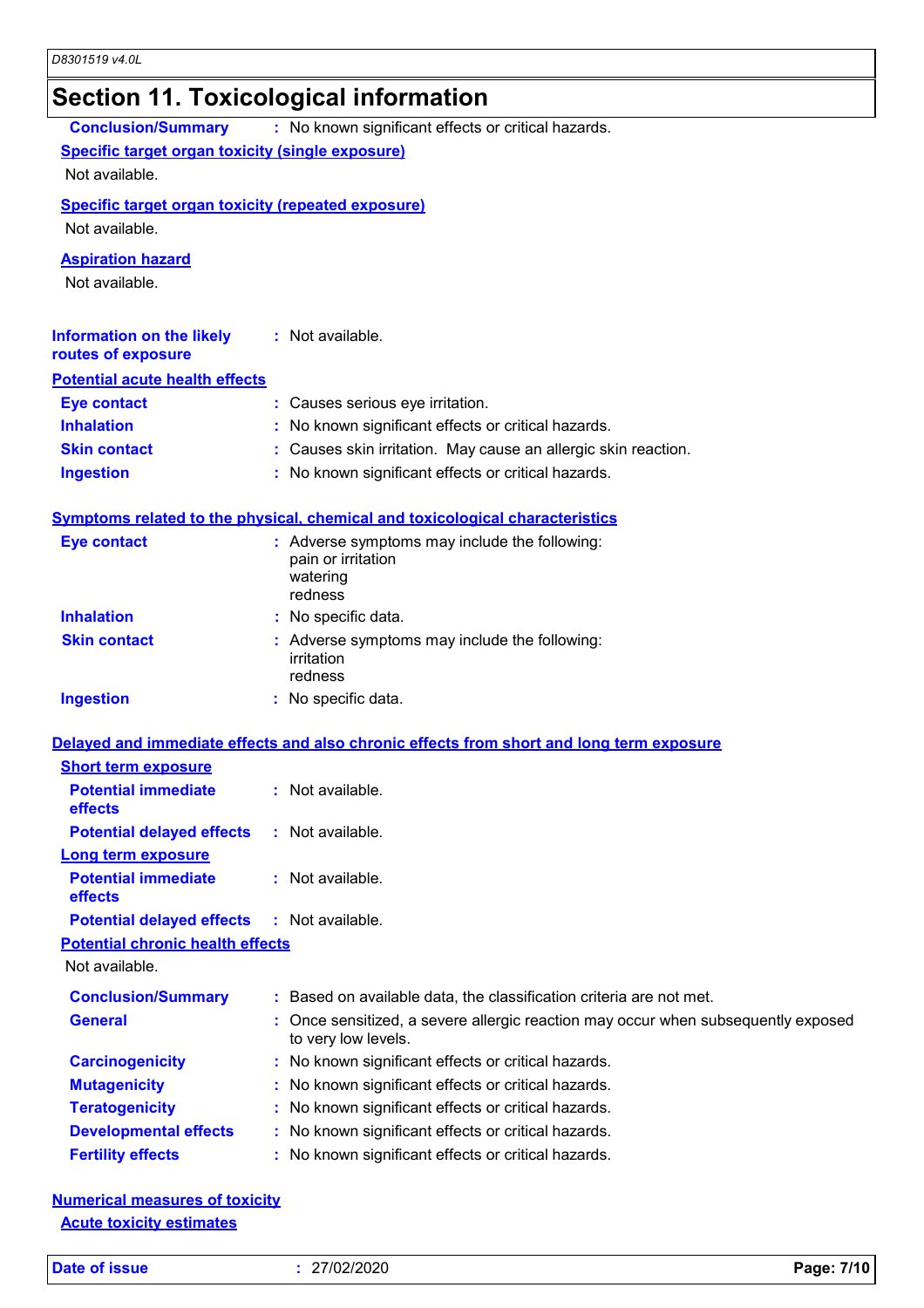# **Section 11. Toxicological information**

| <b>Conclusion/Summary</b>                                 | : No known significant effects or critical hazards.                                                    |
|-----------------------------------------------------------|--------------------------------------------------------------------------------------------------------|
| Specific target organ toxicity (single exposure)          |                                                                                                        |
| Not available.                                            |                                                                                                        |
| <b>Specific target organ toxicity (repeated exposure)</b> |                                                                                                        |
| Not available.                                            |                                                                                                        |
| <b>Aspiration hazard</b>                                  |                                                                                                        |
| Not available.                                            |                                                                                                        |
|                                                           |                                                                                                        |
| <b>Information on the likely</b>                          | : Not available.                                                                                       |
| routes of exposure                                        |                                                                                                        |
| <b>Potential acute health effects</b>                     |                                                                                                        |
| <b>Eye contact</b>                                        | : Causes serious eye irritation.                                                                       |
| <b>Inhalation</b>                                         | : No known significant effects or critical hazards.                                                    |
| <b>Skin contact</b>                                       | : Causes skin irritation. May cause an allergic skin reaction.                                         |
| <b>Ingestion</b>                                          | : No known significant effects or critical hazards.                                                    |
|                                                           |                                                                                                        |
|                                                           | Symptoms related to the physical, chemical and toxicological characteristics                           |
| <b>Eye contact</b>                                        | : Adverse symptoms may include the following:                                                          |
|                                                           | pain or irritation<br>watering                                                                         |
|                                                           | redness                                                                                                |
| <b>Inhalation</b>                                         | : No specific data.                                                                                    |
| <b>Skin contact</b>                                       | : Adverse symptoms may include the following:                                                          |
|                                                           | irritation                                                                                             |
|                                                           | redness                                                                                                |
| <b>Ingestion</b>                                          | : No specific data.                                                                                    |
|                                                           | Delayed and immediate effects and also chronic effects from short and long term exposure               |
| <b>Short term exposure</b>                                |                                                                                                        |
| <b>Potential immediate</b>                                | : Not available.                                                                                       |
| effects                                                   |                                                                                                        |
| <b>Potential delayed effects</b>                          | : Not available.                                                                                       |
| <b>Long term exposure</b>                                 |                                                                                                        |
| <b>Potential immediate</b>                                | $:$ Not available.                                                                                     |
| effects                                                   |                                                                                                        |
| <b>Potential delayed effects</b>                          | $:$ Not available.                                                                                     |
| <b>Potential chronic health effects</b><br>Not available. |                                                                                                        |
|                                                           |                                                                                                        |
| <b>Conclusion/Summary</b>                                 | : Based on available data, the classification criteria are not met.                                    |
| <b>General</b>                                            | Once sensitized, a severe allergic reaction may occur when subsequently exposed<br>to very low levels. |
| <b>Carcinogenicity</b>                                    | : No known significant effects or critical hazards.                                                    |
| <b>Mutagenicity</b>                                       | : No known significant effects or critical hazards.                                                    |
| <b>Teratogenicity</b>                                     | : No known significant effects or critical hazards.                                                    |
| <b>Developmental effects</b>                              | : No known significant effects or critical hazards.                                                    |
| <b>Fertility effects</b>                                  | : No known significant effects or critical hazards.                                                    |

| <b>Numerical measures of toxicity</b> |  |
|---------------------------------------|--|
| <b>Acute toxicity estimates</b>       |  |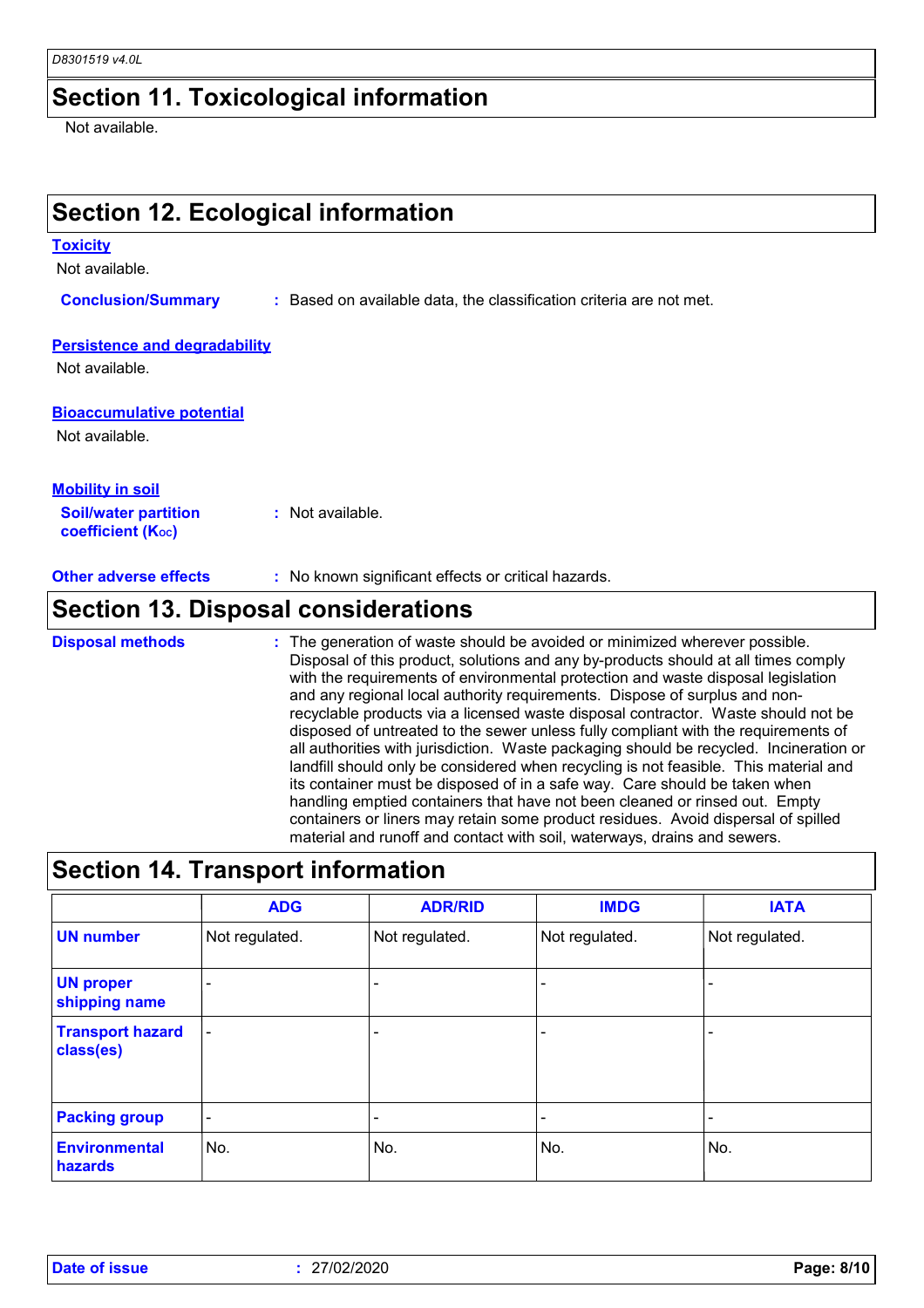#### **Section 11. Toxicological information**

Not available.

## **Section 12. Ecological information**

#### **Toxicity**

Not available.

**Conclusion/Summary :** Based on available data, the classification criteria are not met.

#### **Persistence and degradability**

Not available.

#### **Bioaccumulative potential**

Not available.

| <b>Mobility in soil</b>                                 |                  |
|---------------------------------------------------------|------------------|
| <b>Soil/water partition</b><br><b>coefficient (Koc)</b> | : Not available. |

**Other adverse effects** : No known significant effects or critical hazards.

## **Section 13. Disposal considerations**

The generation of waste should be avoided or minimized wherever possible. Disposal of this product, solutions and any by-products should at all times comply with the requirements of environmental protection and waste disposal legislation and any regional local authority requirements. Dispose of surplus and nonrecyclable products via a licensed waste disposal contractor. Waste should not be disposed of untreated to the sewer unless fully compliant with the requirements of all authorities with jurisdiction. Waste packaging should be recycled. Incineration or landfill should only be considered when recycling is not feasible. This material and its container must be disposed of in a safe way. Care should be taken when handling emptied containers that have not been cleaned or rinsed out. Empty containers or liners may retain some product residues. Avoid dispersal of spilled material and runoff and contact with soil, waterways, drains and sewers. **Disposal methods :**

### **Section 14. Transport information**

|                                      | <b>ADG</b>               | <b>ADR/RID</b>           | <b>IMDG</b>              | <b>IATA</b>    |
|--------------------------------------|--------------------------|--------------------------|--------------------------|----------------|
| <b>UN number</b>                     | Not regulated.           | Not regulated.           | Not regulated.           | Not regulated. |
| <b>UN proper</b><br>shipping name    | $\overline{\phantom{0}}$ |                          |                          |                |
| <b>Transport hazard</b><br>class(es) | $\overline{\phantom{a}}$ | $\overline{\phantom{0}}$ | $\overline{\phantom{a}}$ |                |
| <b>Packing group</b>                 | $\overline{\phantom{a}}$ | $\overline{\phantom{0}}$ |                          |                |
| <b>Environmental</b><br>hazards      | No.                      | No.                      | No.                      | No.            |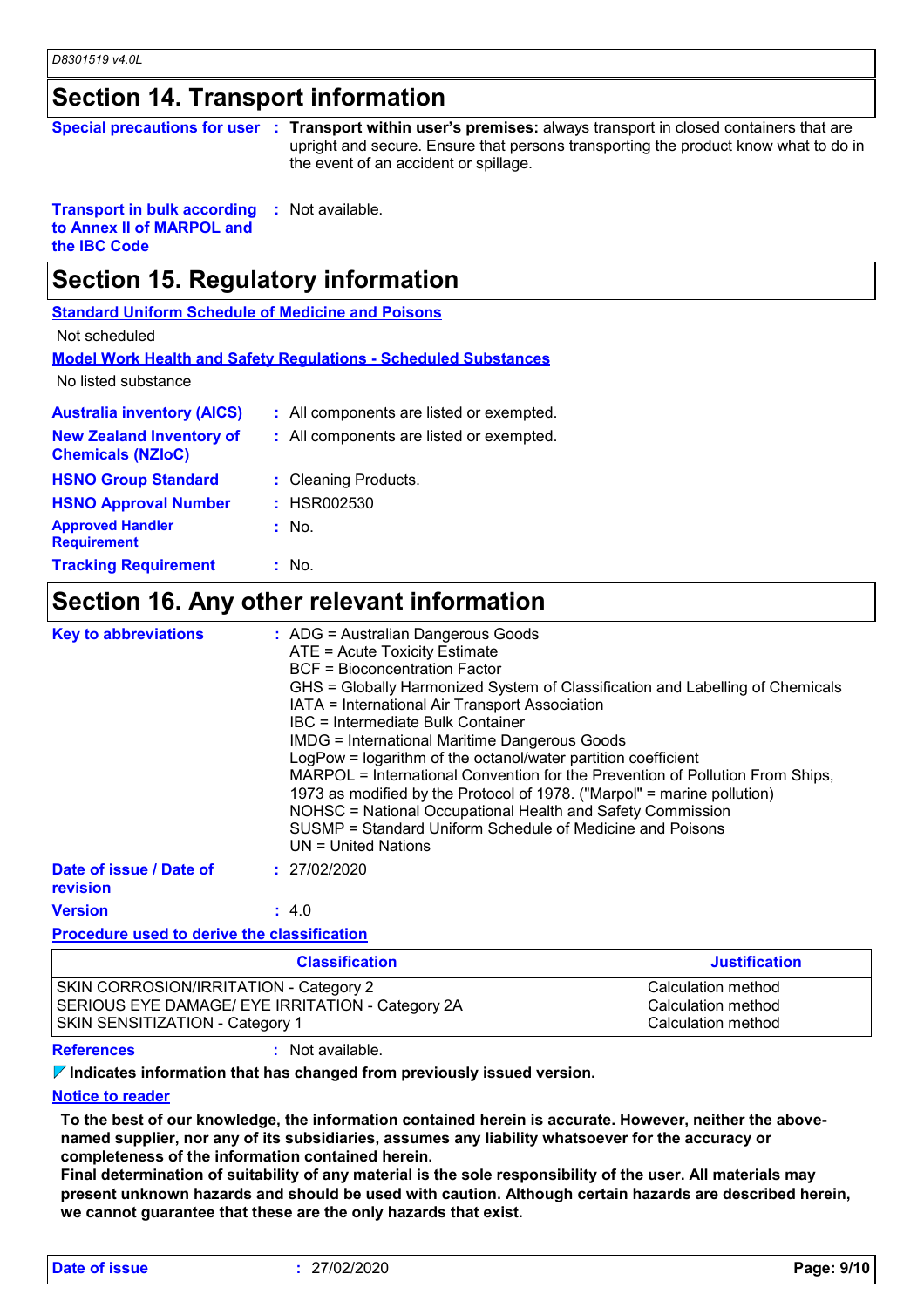#### **Section 14. Transport information**

| Special precautions for user : Transport within u |  |  |
|---------------------------------------------------|--|--|
|---------------------------------------------------|--|--|

**Transport with sport with series premises:** always transport in closed containers that are upright and secure. Ensure that persons transporting the product know what to do in the event of an accident or spillage.

**Transport in bulk according to Annex II of MARPOL and the IBC Code :** Not available.

## **Section 15. Regulatory information**

**Standard Uniform Schedule of Medicine and Poisons**

Not scheduled

**Model Work Health and Safety Regulations - Scheduled Substances**

No listed substance

| <b>Australia inventory (AICS)</b>                           | : All components are listed or exempted. |
|-------------------------------------------------------------|------------------------------------------|
| <b>New Zealand Inventory of</b><br><b>Chemicals (NZIoC)</b> | : All components are listed or exempted. |
| <b>HSNO Group Standard</b>                                  | : Cleaning Products.                     |
| <b>HSNO Approval Number</b>                                 | : HSR002530                              |
| <b>Approved Handler</b><br><b>Requirement</b>               | $:$ No.                                  |
| <b>Tracking Requirement</b>                                 | : No.                                    |

#### **Section 16. Any other relevant information**

| <b>Key to abbreviations</b>         | : ADG = Australian Dangerous Goods<br>ATE = Acute Toxicity Estimate<br><b>BCF</b> = Bioconcentration Factor<br>GHS = Globally Harmonized System of Classification and Labelling of Chemicals<br>IATA = International Air Transport Association<br>IBC = Intermediate Bulk Container<br><b>IMDG = International Maritime Dangerous Goods</b><br>LogPow = logarithm of the octanol/water partition coefficient<br>MARPOL = International Convention for the Prevention of Pollution From Ships,<br>1973 as modified by the Protocol of 1978. ("Marpol" = marine pollution)<br>NOHSC = National Occupational Health and Safety Commission<br>SUSMP = Standard Uniform Schedule of Medicine and Poisons<br>$UN = United Nations$ |
|-------------------------------------|------------------------------------------------------------------------------------------------------------------------------------------------------------------------------------------------------------------------------------------------------------------------------------------------------------------------------------------------------------------------------------------------------------------------------------------------------------------------------------------------------------------------------------------------------------------------------------------------------------------------------------------------------------------------------------------------------------------------------|
| Date of issue / Date of<br>revision | : 27/02/2020                                                                                                                                                                                                                                                                                                                                                                                                                                                                                                                                                                                                                                                                                                                 |
| <b>Version</b>                      | : 4.0                                                                                                                                                                                                                                                                                                                                                                                                                                                                                                                                                                                                                                                                                                                        |

#### **Procedure used to derive the classification**

| <b>Classification</b>                            | Justification      |
|--------------------------------------------------|--------------------|
| <b>SKIN CORROSION/IRRITATION - Category 2</b>    | Calculation method |
| SERIOUS EYE DAMAGE/ EYE IRRITATION - Category 2A | Calculation method |
| <b>SKIN SENSITIZATION - Category 1</b>           | Calculation method |

**References :** Not available.

**Indicates information that has changed from previously issued version.**

#### **Notice to reader**

**To the best of our knowledge, the information contained herein is accurate. However, neither the abovenamed supplier, nor any of its subsidiaries, assumes any liability whatsoever for the accuracy or completeness of the information contained herein.**

**Final determination of suitability of any material is the sole responsibility of the user. All materials may present unknown hazards and should be used with caution. Although certain hazards are described herein, we cannot guarantee that these are the only hazards that exist.**